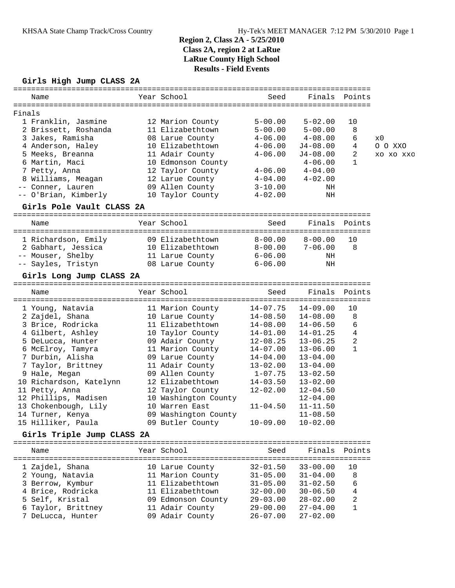## **Girls High Jump CLASS 2A**

| Name                               | Year School                        | Seed                         | Finals                       | Points        |           |
|------------------------------------|------------------------------------|------------------------------|------------------------------|---------------|-----------|
|                                    |                                    |                              |                              |               |           |
| Finals                             |                                    |                              |                              |               |           |
| 1 Franklin, Jasmine                | 12 Marion County                   | $5 - 00.00$                  | $5 - 02.00$                  | 10            |           |
| 2 Brissett, Roshanda               | 11 Elizabethtown                   | $5 - 00.00$                  | $5 - 00.00$                  | 8             |           |
| 3 Jakes, Ramisha                   | 08 Larue County                    | $4 - 06.00$                  | $4 - 08.00$                  | 6             | x0        |
| 4 Anderson, Haley                  | 10 Elizabethtown                   | $4 - 06.00$                  | $J4-08.00$                   | 4             | O O XXC   |
| 5 Meeks, Breanna                   | 11 Adair County                    | $4 - 06.00$                  | J4-08.00                     | 2             | XO XO XXO |
| 6 Martin, Maci                     | 10 Edmonson County                 |                              | $4 - 06.00$                  | $\mathbf{1}$  |           |
| 7 Petty, Anna                      | 12 Taylor County                   | $4 - 06.00$                  | $4 - 04.00$                  |               |           |
| 8 Williams, Meagan                 | 12 Larue County                    | $4 - 04.00$                  | $4 - 02.00$                  |               |           |
| -- Conner, Lauren                  | 09 Allen County                    | $3 - 10.00$                  | ΝH                           |               |           |
| -- O'Brian, Kimberly               | 10 Taylor County                   | $4 - 02.00$                  | ΝH                           |               |           |
| Girls Pole Vault CLASS 2A          |                                    |                              |                              |               |           |
| Name                               | Year School                        | Seed                         | Finals Points                |               |           |
|                                    |                                    |                              |                              |               |           |
| 1 Richardson, Emily                | 09 Elizabethtown                   | $8 - 00.00$                  | $8 - 00.00$                  | 10            |           |
| 2 Gabhart, Jessica                 | 10 Elizabethtown                   | $8 - 00.00$                  | $7 - 06.00$                  | 8             |           |
| -- Mouser, Shelby                  | 11 Larue County                    | $6-06.00$                    | ΝH                           |               |           |
| -- Sayles, Tristyn                 | 08 Larue County                    | $6 - 06.00$                  | ΝH                           |               |           |
| Girls Long Jump CLASS 2A           |                                    |                              |                              |               |           |
| Name                               | Year School                        | Seed                         | Finals                       | Points        |           |
| 1 Young, Natavia                   | 11 Marion County                   | $14 - 07.75$                 | $14 - 09.00$                 | 10            |           |
| 2 Zajdel, Shana                    | 10 Larue County                    | $14 - 08.50$                 | $14 - 08.00$                 | 8             |           |
| 3 Brice, Rodricka                  | 11 Elizabethtown                   | $14 - 08.00$                 | $14 - 06.50$                 | 6             |           |
| 4 Gilbert, Ashley                  | 10 Taylor County                   | $14 - 01.00$                 | 14-01.25                     | 4             |           |
| 5 DeLucca, Hunter                  | 09 Adair County                    | $12 - 08.25$                 | $13 - 06.25$                 | 2             |           |
| 6 McElroy, Tamyra                  | 11 Marion County                   | 14-07.00                     | $13 - 06.00$                 | $\mathbf{1}$  |           |
| 7 Durbin, Alisha                   | 09 Larue County                    | $14 - 04.00$                 | $13 - 04.00$                 |               |           |
| 7 Taylor, Brittney                 | 11 Adair County                    | $13 - 02.00$                 | $13 - 04.00$                 |               |           |
| 9 Hale, Megan                      | 09 Allen County                    | $1 - 07.75$                  | $13 - 02.50$                 |               |           |
| 10 Richardson, Katelynn            | 12 Elizabethtown                   | $14 - 03.50$                 | $13 - 02.00$                 |               |           |
| 11 Petty, Anna                     | 12 Taylor County                   | $12 - 02.00$                 | $12 - 04.50$                 |               |           |
| 12 Phillips, Madisen               | 10 Washington County               |                              | $12 - 04.00$                 |               |           |
| 13 Chokenbough, Lily               | 10 Warren East                     | $11 - 04.50$                 | $11 - 11.50$                 |               |           |
| 14 Turner, Kenya                   | 09 Washington County               |                              | $11 - 08.50$                 |               |           |
| 15 Hilliker, Paula                 | 09 Butler County                   | $10 - 09.00$                 | $10 - 02.00$                 |               |           |
| Girls Triple Jump CLASS 2A         |                                    |                              |                              |               |           |
| =================<br>=====<br>Name | =================<br>Year School   | Seed                         |                              | Finals Points |           |
| 1 Zajdel, Shana                    | 10 Larue County                    | $32 - 01.50$                 | $33 - 00.00$                 | 10            |           |
| 2 Young, Natavia                   | 11 Marion County                   | $31 - 05.00$                 | $31 - 04.00$                 | 8             |           |
| 3 Berrow, Kymbur                   | 11 Elizabethtown                   | $31 - 05.00$                 | $31 - 02.50$                 | 6             |           |
| 4 Brice, Rodricka                  | 11 Elizabethtown                   | $32 - 00.00$                 | $30 - 06.50$                 | 4             |           |
| 5 Self, Kristal                    |                                    | $29 - 03.00$                 |                              | 2             |           |
| 6 Taylor, Brittney                 | 09 Edmonson County                 |                              | $28 - 02.00$<br>$27 - 04.00$ | 1             |           |
| 7 DeLucca, Hunter                  | 11 Adair County<br>09 Adair County | $29 - 00.00$<br>$26 - 07.00$ | $27 - 02.00$                 |               |           |
|                                    |                                    |                              |                              |               |           |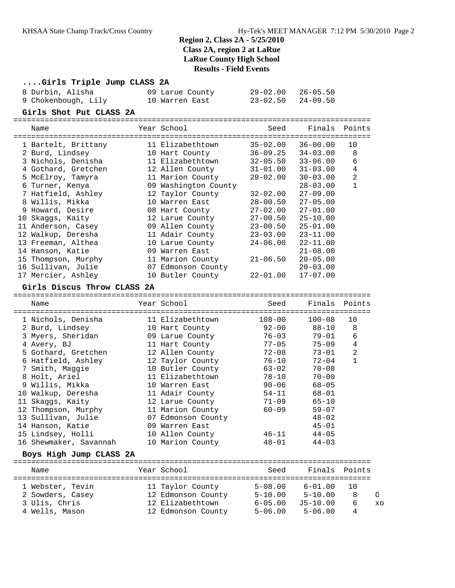## **....Girls Triple Jump CLASS 2A**

| 8 Durbin, Alisha    | 09 Larue County | $29 - 02.00$ $26 - 05.50$ |
|---------------------|-----------------|---------------------------|
| 9 Chokenbough, Lily | 10 Warren East  | 23-02.50 24-09.50         |

#### **Girls Shot Put CLASS 2A**

| Name                        | Year School             | Seed         | Finals Points |                |
|-----------------------------|-------------------------|--------------|---------------|----------------|
| 1 Bartelt, Brittany         | 11 Elizabethtown        | 35-02.00     | $36 - 00.00$  | 10             |
| 2 Burd, Lindsey             | 10 Hart County          | 36-09.25     | $34 - 03.00$  | 8              |
| 3 Nichols, Denisha          | 11 Elizabethtown        | $32 - 05.50$ | $33 - 06.00$  | 6              |
| 4 Gothard, Gretchen         | 12 Allen County         | $31 - 01.00$ | $31 - 03.00$  | $\overline{4}$ |
| 5 McElroy, Tamyra           | 11 Marion County        | $29 - 02.00$ | $30 - 03.00$  | $\overline{c}$ |
| 6 Turner, Kenya             | 09 Washington County    |              | $28 - 03.00$  | $\mathbf{1}$   |
| 7 Hatfield, Ashley          | 12 Taylor County        | $32 - 02.00$ | $27 - 09.00$  |                |
| 8 Willis, Mikka             | 10 Warren East          | $28 - 00.50$ | $27 - 05.00$  |                |
| 9 Howard, Desire            | 08 Hart County          | $27 - 02.00$ | $27 - 01.00$  |                |
| 10 Skaqqs, Kaity            | 12 Larue County         | $27 - 00.50$ | $25 - 10.00$  |                |
| 11 Anderson, Casey          | 09 Allen County         | $23 - 00.50$ | $25 - 01.00$  |                |
| 12 Walkup, Deresha          | 11 Adair County         | $23 - 03.00$ | $23 - 11.00$  |                |
| 13 Freeman, Althea          | 10 Larue County         | $24 - 06.00$ | $22 - 11.00$  |                |
| 14 Hanson, Katie            | 09 Warren East          |              | $21 - 08.00$  |                |
| 15 Thompson, Murphy         | 11 Marion County        | $21 - 06.50$ | $20 - 05.00$  |                |
| 16 Sullivan, Julie          | 07 Edmonson County      |              | $20 - 03.00$  |                |
| 17 Mercier, Ashley          | 10 Butler County        | $22 - 01.00$ | $17 - 07.00$  |                |
| Girls Discus Throw CLASS 2A |                         |              |               |                |
| Name                        | Year School             | Seed         | Finals Points |                |
| ================            | ======================= |              |               |                |

| 1 Nichols, Denisha     | 11 Elizabethtown   | $108 - 00$ | $100 - 08$ | 10           |
|------------------------|--------------------|------------|------------|--------------|
| 2 Burd, Lindsey        | 10 Hart County     | $92 - 00$  | $88 - 10$  | 8            |
| 3 Myers, Sheridan      | 09 Larue County    | 76-03      | $79 - 01$  | 6            |
| 4 Avery, BJ            | 11 Hart County     | $77 - 05$  | $75 - 09$  | 4            |
| 5 Gothard, Gretchen    | 12 Allen County    | 72-08      | $73 - 01$  | 2            |
| 6 Hatfield, Ashley     | 12 Taylor County   | 76-10      | $72 - 04$  | $\mathbf{1}$ |
| 7 Smith, Maggie        | 10 Butler County   | 63-02      | $70 - 08$  |              |
| 8 Holt, Ariel          | 11 Elizabethtown   | 78-10      | $70 - 00$  |              |
| 9 Willis, Mikka        | 10 Warren East     | $90 - 06$  | $68 - 05$  |              |
| 10 Walkup, Deresha     | 11 Adair County    | $54 - 11$  | 68-01      |              |
| 11 Skaggs, Kaity       | 12 Larue County    | $71 - 09$  | $65 - 10$  |              |
| 12 Thompson, Murphy    | 11 Marion County   | $60 - 09$  | $59 - 07$  |              |
| 13 Sullivan, Julie     | 07 Edmonson County |            | $48 - 02$  |              |
| 14 Hanson, Katie       | 09 Warren East     |            | $45 - 01$  |              |
| 15 Lindsey, Holli      | 10 Allen County    | $46 - 11$  | $44 - 05$  |              |
| 16 Shewmaker, Savannah | 10 Marion County   | $48 - 01$  | $44 - 03$  |              |

### **Boys High Jump CLASS 2A**

| Name             | Year School        | Seed                       | Finals                     | Points |          |
|------------------|--------------------|----------------------------|----------------------------|--------|----------|
| 1 Webster, Tevin | 11 Taylor County   | $5 - 08.00$<br>$5 - 10.00$ | $6 - 01.00$<br>$5 - 10.00$ | 1 O    |          |
| 2 Sowders, Casey | 12 Edmonson County |                            |                            | 8      | $\Omega$ |
| 3 Ulis, Chris    | 12 Elizabethtown   | $6 - 05.00$                | $J5 - 10.00$               |        | $X \cap$ |
| 4 Wells, Mason   | 12 Edmonson County | $5 - 06.00$                | $5 - 06.00$                | 4      |          |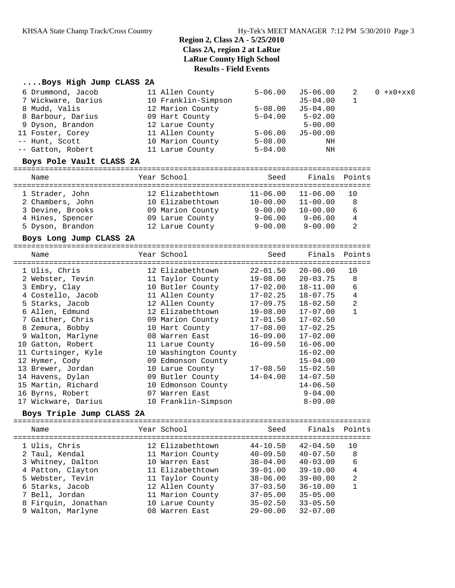## **....Boys High Jump CLASS 2A**

| 6 Drummond, Jacob<br>7 Wickware, Darius<br>8 Mudd, Valis<br>8 Barbour, Darius<br>9 Dyson, Brandon | 11 Allen County<br>10 Franklin-Simpson<br>12 Marion County<br>09 Hart County<br>12 Larue County | $5 - 06.00$<br>$5 - 08.00$<br>$5 - 04.00$ | J5-06.00<br>J5-04.00<br>$J5 - 04.00$<br>$5 - 02.00$<br>$5 - 00.00$ | 2  | $0 \frac{+x0+xx0}{-x}$ |
|---------------------------------------------------------------------------------------------------|-------------------------------------------------------------------------------------------------|-------------------------------------------|--------------------------------------------------------------------|----|------------------------|
| 11 Foster, Corey<br>-- Hunt, Scott<br>-- Gatton, Robert<br>Boys Pole Vault CLASS 2A               | 11 Allen County<br>10 Marion County<br>11 Larue County                                          | $5 - 06.00$<br>$5 - 08.00$<br>$5 - 04.00$ | $J5 - 00.00$<br>ΝH<br>ΝH                                           |    |                        |
| Name                                                                                              | Year School                                                                                     | Seed                                      | Finals Points                                                      |    |                        |
| 1 Strader, John                                                                                   | 12 Elizabethtown                                                                                | $11 - 06.00$                              | $11 - 06.00$                                                       | 10 |                        |
| 2 Chambers, John                                                                                  | 10 Elizabethtown                                                                                | $10 - 00.00$                              | $11 - 00.00$                                                       | 8  |                        |
|                                                                                                   |                                                                                                 |                                           |                                                                    |    |                        |
| 3 Devine, Brooks                                                                                  | 09 Marion County                                                                                | $9 - 00.00$                               | $10 - 00.00$                                                       | 6  |                        |

#### **Boys Long Jump CLASS 2A**

| Name                | Year School          | Seed         | Finals Points |    |
|---------------------|----------------------|--------------|---------------|----|
| 1 Ulis, Chris       | 12 Elizabethtown     | $22 - 01.50$ | $20 - 06.00$  | 10 |
| 2 Webster, Tevin    | 11 Taylor County     | $19 - 08.00$ | $20 - 03.75$  | 8  |
| 3 Embry, Clay       | 10 Butler County     | $17 - 02.00$ | $18 - 11.00$  | 6  |
| 4 Costello, Jacob   | 11 Allen County      | $17 - 02.25$ | $18 - 07.75$  | 4  |
| 5 Starks, Jacob     | 12 Allen County      | 17-09.75     | $18 - 02.50$  | 2  |
| 6 Allen, Edmund     | 12 Elizabethtown     | 19-08.00     | $17 - 07.00$  |    |
| 7 Gaither, Chris    | 09 Marion County     | 17-01.50     | $17 - 02.50$  |    |
| 8 Zemura, Bobby     | 10 Hart County       | $17 - 08.00$ | $17 - 02.25$  |    |
| 9 Walton, Marlyne   | 08 Warren East       | $16 - 09.00$ | $17 - 02.00$  |    |
| 10 Gatton, Robert   | 11 Larue County      | $16 - 09.50$ | $16 - 06.00$  |    |
| 11 Curtsinger, Kyle | 10 Washington County |              | $16 - 02.00$  |    |
| 12 Hymer, Cody      | 09 Edmonson County   |              | $15 - 04.00$  |    |
| 13 Brewer, Jordan   | 10 Larue County      | $17 - 08.50$ | $15 - 02.50$  |    |
| 14 Havens, Dylan    | 09 Butler County     | $14 - 04.00$ | $14 - 07.50$  |    |
| 15 Martin, Richard  | 10 Edmonson County   |              | $14 - 06.50$  |    |
| 16 Byrns, Robert    | 07 Warren East       |              | $9 - 04.00$   |    |
| 17 Wickware, Darius | 10 Franklin-Simpson  |              | $8 - 09.00$   |    |

5 Dyson, Brandon 12 Larue County 9-00.00 9-00.00 2

#### **Boys Triple Jump CLASS 2A**

| Name                                                                      | Year School                                                                | Seed                                                         |                                                              | Finals Points       |
|---------------------------------------------------------------------------|----------------------------------------------------------------------------|--------------------------------------------------------------|--------------------------------------------------------------|---------------------|
| 1 Ulis, Chris<br>2 Taul, Kendal<br>3 Whitney, Dalton<br>4 Patton, Clayton | 12 Elizabethtown<br>11 Marion County<br>10 Warren East<br>11 Elizabethtown | $44 - 10.50$<br>$40 - 09.50$<br>$38 - 04.00$<br>$39 - 01.00$ | $42 - 04.50$<br>$40 - 07.50$<br>$40 - 03.00$<br>$39 - 10.00$ | 10<br>8<br>6<br>4   |
| 5 Webster, Tevin<br>6 Starks, Jacob                                       | 11 Taylor County<br>12 Allen County                                        | $38 - 06.00$<br>$37 - 03.50$                                 | $39 - 00.00$<br>$36 - 10.00$                                 | $\overline{2}$<br>1 |
| 7 Bell, Jordan<br>8 Firquin, Jonathan<br>9 Walton, Marlyne                | 11 Marion County<br>10 Larue County<br>08 Warren East                      | $37 - 05.00$<br>$35 - 02.50$<br>$29 - 00.00$                 | $35 - 05.00$<br>$33 - 05.50$<br>$32 - 07.00$                 |                     |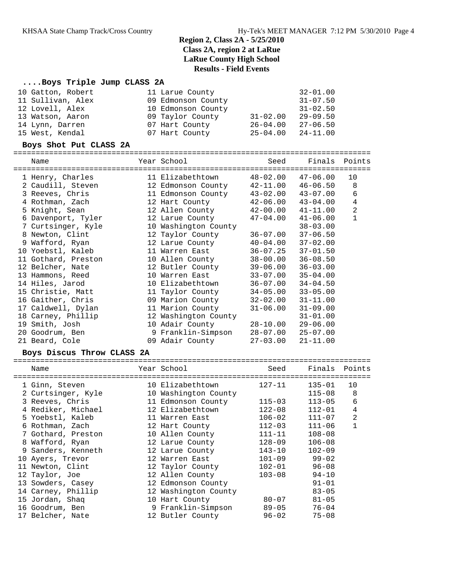### **....Boys Triple Jump CLASS 2A**

| 10 Gatton, Robert | 11 Larue County    |              | $32 - 01.00$ |
|-------------------|--------------------|--------------|--------------|
| 11 Sullivan, Alex | 09 Edmonson County |              | $31 - 07.50$ |
| 12 Lovell, Alex   | 10 Edmonson County |              | $31 - 02.50$ |
| 13 Watson, Aaron  | 09 Taylor County   | $31 - 02.00$ | $29 - 09.50$ |
| 14 Lynn, Darren   | 07 Hart County     | $26 - 04.00$ | $27 - 06.50$ |
| 15 West, Kendal   | 07 Hart County     | $25 - 04.00$ | $24 - 11.00$ |

#### **Boys Shot Put CLASS 2A**

================================================================================

| Name<br>============================== | Year School          | Seed                      |              | Finals Points  |
|----------------------------------------|----------------------|---------------------------|--------------|----------------|
| 1 Henry, Charles                       | 11 Elizabethtown     | 48-02.00                  | $47 - 06.00$ | 10             |
| 2 Caudill, Steven                      | 12 Edmonson County   | 42-11.00                  | $46 - 06.50$ | 8              |
| 3 Reeves, Chris                        | 11 Edmonson County   | 43-02.00                  | 43-07.00     | 6              |
| 4 Rothman, Zach                        | 12 Hart County       | 42-06.00                  | $43 - 04.00$ | $\overline{4}$ |
| 5 Knight, Sean                         | 12 Allen County      | $42 - 00.00$ $41 - 11.00$ |              | $\overline{c}$ |
| 6 Davenport, Tyler                     | 12 Larue County      | 47-04.00                  | $41 - 06.00$ | $\mathbf{1}$   |
| 7 Curtsinger, Kyle                     | 10 Washington County |                           | $38 - 03.00$ |                |
| 8 Newton, Clint                        | 12 Taylor County     | 36-07.00                  | $37 - 06.50$ |                |
| 9 Wafford, Ryan                        | 12 Larue County      | $40 - 04.00$              | $37 - 02.00$ |                |
| 10 Yoebstl, Kaleb                      | 11 Warren East       | 36-07.25                  | $37 - 01.50$ |                |
| 11 Gothard, Preston                    | 10 Allen County      | 38-00.00                  | $36 - 08.50$ |                |
| 12 Belcher, Nate                       | 12 Butler County     | 39-06.00                  | $36 - 03.00$ |                |
| 13 Hammons, Reed                       | 10 Warren East       | $33 - 07.00$              | $35 - 04.00$ |                |
| 14 Hiles, Jarod                        | 10 Elizabethtown     | 36-07.00                  | $34 - 04.50$ |                |
| 15 Christie, Matt                      | 11 Taylor County     | $34 - 05.00$              | $33 - 05.00$ |                |
| 16 Gaither, Chris                      | 09 Marion County     | 32-02.00                  | $31 - 11.00$ |                |
| 17 Caldwell, Dylan                     | 11 Marion County     | $31 - 06.00$              | $31 - 09.00$ |                |
| 18 Carney, Phillip                     | 12 Washington County |                           | $31 - 01.00$ |                |
| 19 Smith, Josh                         | 10 Adair County      | 28-10.00                  | $29 - 06.00$ |                |
| 20 Goodrum, Ben                        | 9 Franklin-Simpson   | 28-07.00                  | $25 - 07.00$ |                |
| 21 Beard, Cole                         | 09 Adair County      | $27 - 03.00$              | $21 - 11.00$ |                |

#### **Boys Discus Throw CLASS 2A**

| Name               |  | Seed                                                                                                                                                                                                                                                                                                                                                              | Finals     | Points                                                                                                           |
|--------------------|--|-------------------------------------------------------------------------------------------------------------------------------------------------------------------------------------------------------------------------------------------------------------------------------------------------------------------------------------------------------------------|------------|------------------------------------------------------------------------------------------------------------------|
| 1 Ginn, Steven     |  | $127 - 11$                                                                                                                                                                                                                                                                                                                                                        | $135 - 01$ | 10                                                                                                               |
| 2 Curtsinger, Kyle |  |                                                                                                                                                                                                                                                                                                                                                                   | $115 - 08$ | 8                                                                                                                |
| 3 Reeves, Chris    |  | $115 - 03$                                                                                                                                                                                                                                                                                                                                                        | $113 - 05$ | 6                                                                                                                |
| 4 Rediker, Michael |  | $122 - 08$                                                                                                                                                                                                                                                                                                                                                        | $112 - 01$ | 4                                                                                                                |
| 5 Yoebstl, Kaleb   |  |                                                                                                                                                                                                                                                                                                                                                                   | $111 - 07$ | 2                                                                                                                |
| 6 Rothman, Zach    |  |                                                                                                                                                                                                                                                                                                                                                                   | $111 - 06$ | $\mathbf 1$                                                                                                      |
| 7 Gothard, Preston |  |                                                                                                                                                                                                                                                                                                                                                                   | $108 - 08$ |                                                                                                                  |
| 8 Wafford, Ryan    |  |                                                                                                                                                                                                                                                                                                                                                                   | $106 - 08$ |                                                                                                                  |
| 9 Sanders, Kenneth |  |                                                                                                                                                                                                                                                                                                                                                                   | $102 - 09$ |                                                                                                                  |
| 10 Ayers, Trevor   |  |                                                                                                                                                                                                                                                                                                                                                                   | $99 - 02$  |                                                                                                                  |
| 11 Newton, Clint   |  |                                                                                                                                                                                                                                                                                                                                                                   | $96 - 08$  |                                                                                                                  |
| 12 Taylor, Joe     |  | $103 - 08$                                                                                                                                                                                                                                                                                                                                                        | $94 - 10$  |                                                                                                                  |
| 13 Sowders, Casey  |  |                                                                                                                                                                                                                                                                                                                                                                   | $91 - 01$  |                                                                                                                  |
| 14 Carney, Phillip |  |                                                                                                                                                                                                                                                                                                                                                                   | $83 - 05$  |                                                                                                                  |
| 15 Jordan, Shaq    |  | 80-07                                                                                                                                                                                                                                                                                                                                                             | $81 - 05$  |                                                                                                                  |
| 16 Goodrum, Ben    |  |                                                                                                                                                                                                                                                                                                                                                                   | $76 - 04$  |                                                                                                                  |
| 17 Belcher, Nate   |  |                                                                                                                                                                                                                                                                                                                                                                   | $75 - 08$  |                                                                                                                  |
|                    |  | Year School<br>10 Elizabethtown<br>10 Washington County<br>11 Edmonson County<br>12 Elizabethtown<br>11 Warren East<br>12 Hart County<br>10 Allen County<br>12 Larue County<br>12 Larue County<br>12 Warren East<br>12 Taylor County<br>12 Allen County<br>12 Edmonson County<br>12 Washington County<br>10 Hart County<br>9 Franklin-Simpson<br>12 Butler County |            | 106-02<br>$112 - 03$<br>111-11<br>$128 - 09$<br>$143 - 10$<br>$101 - 09$<br>$102 - 01$<br>$89 - 05$<br>$96 - 02$ |